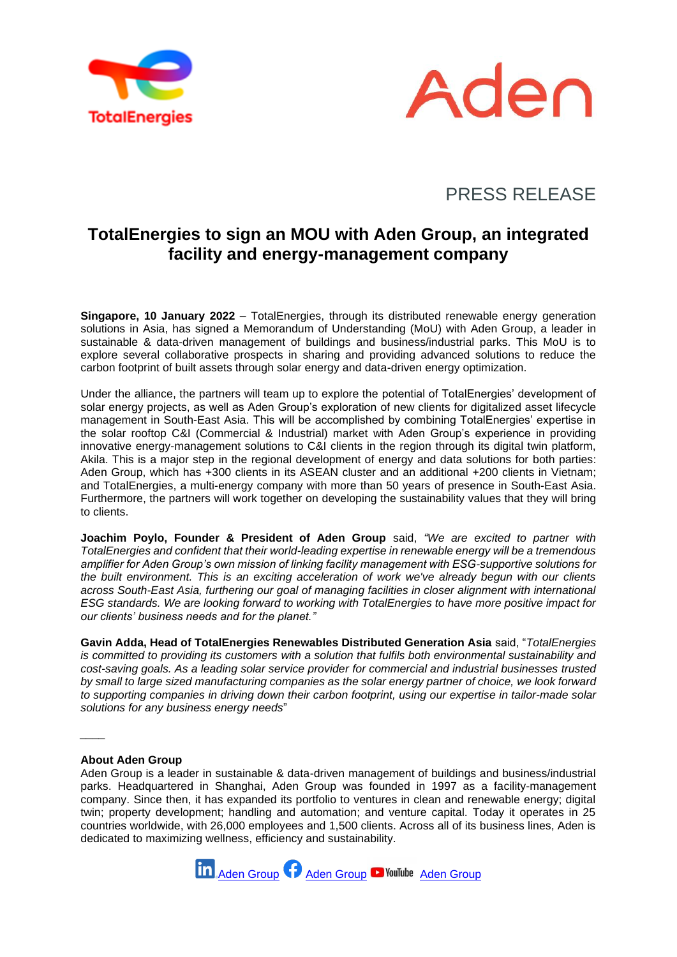



# PRESS RELEASE

## **TotalEnergies to sign an MOU with Aden Group, an integrated facility and energy-management company**

**Singapore, 10 January 2022** – TotalEnergies, through its distributed renewable energy generation solutions in Asia, has signed a Memorandum of Understanding (MoU) with Aden Group, a leader in sustainable & data-driven management of buildings and business/industrial parks. This MoU is to explore several collaborative prospects in sharing and providing advanced solutions to reduce the carbon footprint of built assets through solar energy and data-driven energy optimization.

Under the alliance, the partners will team up to explore the potential of TotalEnergies' development of solar energy projects, as well as Aden Group's exploration of new clients for digitalized asset lifecycle management in South-East Asia. This will be accomplished by combining TotalEnergies' expertise in the solar rooftop C&I (Commercial & Industrial) market with Aden Group's experience in providing innovative energy-management solutions to C&I clients in the region through its digital twin platform, Akila. This is a major step in the regional development of energy and data solutions for both parties: Aden Group, which has +300 clients in its ASEAN cluster and an additional +200 clients in Vietnam; and TotalEnergies, a multi-energy company with more than 50 years of presence in South-East Asia. Furthermore, the partners will work together on developing the sustainability values that they will bring to clients.

**Joachim Poylo, Founder & President of Aden Group** said, *"We are excited to partner with TotalEnergies and confident that their world-leading expertise in renewable energy will be a tremendous amplifier for Aden Group's own mission of linking facility management with ESG-supportive solutions for the built environment. This is an exciting acceleration of work we've already begun with our clients across South-East Asia, furthering our goal of managing facilities in closer alignment with international ESG standards. We are looking forward to working with TotalEnergies to have more positive impact for our clients' business needs and for the planet."* 

**Gavin Adda, Head of TotalEnergies Renewables Distributed Generation Asia** said, "*TotalEnergies is committed to providing its customers with a solution that fulfils both environmental sustainability and cost-saving goals. As a leading solar service provider for commercial and industrial businesses trusted by small to large sized manufacturing companies as the solar energy partner of choice, we look forward to supporting companies in driving down their carbon footprint, using our expertise in tailor-made solar solutions for any business energy needs*"

### **About Aden Group**

*\_\_\_\_*

Aden Group is a leader in sustainable & data-driven management of buildings and business/industrial parks. Headquartered in Shanghai, Aden Group was founded in 1997 as a facility-management company. Since then, it has expanded its portfolio to ventures in clean and renewable energy; digital twin; property development; handling and automation; and venture capital. Today it operates in 25 countries worldwide, with 26,000 employees and 1,500 clients. Across all of its business lines, Aden is dedicated to maximizing wellness, efficiency and sustainability.